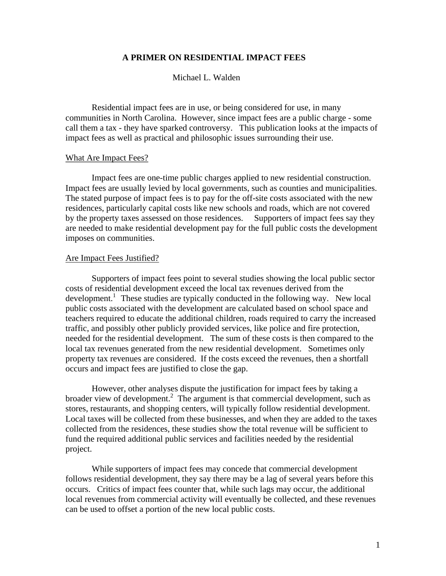## **A PRIMER ON RESIDENTIAL IMPACT FEES**

### Michael L. Walden

Residential impact fees are in use, or being considered for use, in many communities in North Carolina. However, since impact fees are a public charge - some call them a tax - they have sparked controversy. This publication looks at the impacts of impact fees as well as practical and philosophic issues surrounding their use.

#### What Are Impact Fees?

Impact fees are one-time public charges applied to new residential construction. Impact fees are usually levied by local governments, such as counties and municipalities. The stated purpose of impact fees is to pay for the off-site costs associated with the new residences, particularly capital costs like new schools and roads, which are not covered by the property taxes assessed on those residences. Supporters of impact fees say they are needed to make residential development pay for the full public costs the development imposes on communities.

#### Are Impact Fees Justified?

Supporters of impact fees point to several studies showing the local public sector costs of residential development exceed the local tax revenues derived from the development.<sup>1</sup> These studies are typically conducted in the following way. New local public costs associated with the development are calculated based on school space and teachers required to educate the additional children, roads required to carry the increased traffic, and possibly other publicly provided services, like police and fire protection, needed for the residential development. The sum of these costs is then compared to the local tax revenues generated from the new residential development. Sometimes only property tax revenues are considered. If the costs exceed the revenues, then a shortfall occurs and impact fees are justified to close the gap.

However, other analyses dispute the justification for impact fees by taking a broader view of development.<sup>2</sup> The argument is that commercial development, such as stores, restaurants, and shopping centers, will typically follow residential development. Local taxes will be collected from these businesses, and when they are added to the taxes collected from the residences, these studies show the total revenue will be sufficient to fund the required additional public services and facilities needed by the residential project.

While supporters of impact fees may concede that commercial development follows residential development, they say there may be a lag of several years before this occurs. Critics of impact fees counter that, while such lags may occur, the additional local revenues from commercial activity will eventually be collected, and these revenues can be used to offset a portion of the new local public costs.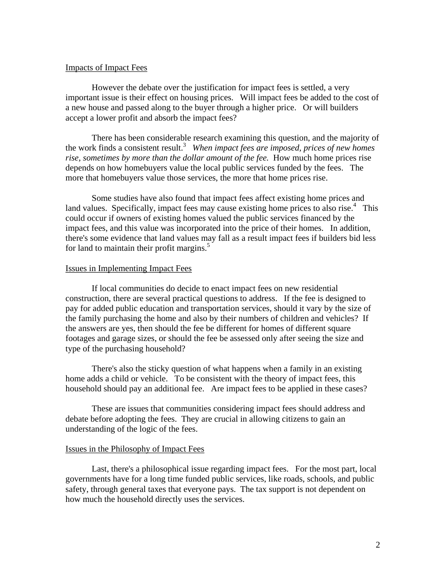### Impacts of Impact Fees

However the debate over the justification for impact fees is settled, a very important issue is their effect on housing prices. Will impact fees be added to the cost of a new house and passed along to the buyer through a higher price. Or will builders accept a lower profit and absorb the impact fees?

There has been considerable research examining this question, and the majority of the work finds a consistent result.3 *When impact fees are imposed, prices of new homes rise, sometimes by more than the dollar amount of the fee.* How much home prices rise depends on how homebuyers value the local public services funded by the fees. The more that homebuyers value those services, the more that home prices rise.

Some studies have also found that impact fees affect existing home prices and land values. Specifically, impact fees may cause existing home prices to also rise.<sup>4</sup> This could occur if owners of existing homes valued the public services financed by the impact fees, and this value was incorporated into the price of their homes. In addition, there's some evidence that land values may fall as a result impact fees if builders bid less for land to maintain their profit margins.<sup>5</sup>

### Issues in Implementing Impact Fees

If local communities do decide to enact impact fees on new residential construction, there are several practical questions to address. If the fee is designed to pay for added public education and transportation services, should it vary by the size of the family purchasing the home and also by their numbers of children and vehicles? If the answers are yes, then should the fee be different for homes of different square footages and garage sizes, or should the fee be assessed only after seeing the size and type of the purchasing household?

There's also the sticky question of what happens when a family in an existing home adds a child or vehicle. To be consistent with the theory of impact fees, this household should pay an additional fee. Are impact fees to be applied in these cases?

These are issues that communities considering impact fees should address and debate before adopting the fees. They are crucial in allowing citizens to gain an understanding of the logic of the fees.

#### Issues in the Philosophy of Impact Fees

Last, there's a philosophical issue regarding impact fees. For the most part, local governments have for a long time funded public services, like roads, schools, and public safety, through general taxes that everyone pays. The tax support is not dependent on how much the household directly uses the services.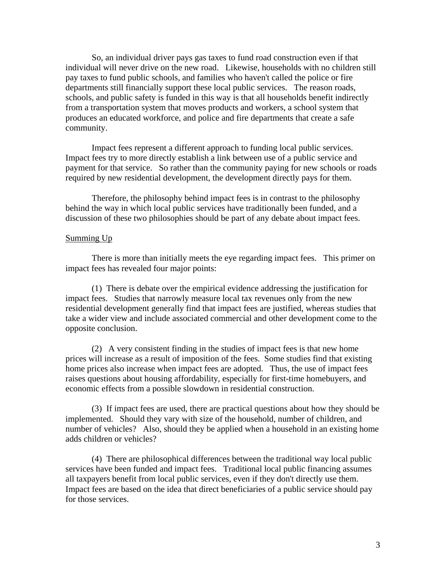So, an individual driver pays gas taxes to fund road construction even if that individual will never drive on the new road. Likewise, households with no children still pay taxes to fund public schools, and families who haven't called the police or fire departments still financially support these local public services. The reason roads, schools, and public safety is funded in this way is that all households benefit indirectly from a transportation system that moves products and workers, a school system that produces an educated workforce, and police and fire departments that create a safe community.

Impact fees represent a different approach to funding local public services. Impact fees try to more directly establish a link between use of a public service and payment for that service. So rather than the community paying for new schools or roads required by new residential development, the development directly pays for them.

Therefore, the philosophy behind impact fees is in contrast to the philosophy behind the way in which local public services have traditionally been funded, and a discussion of these two philosophies should be part of any debate about impact fees.

#### Summing Up

There is more than initially meets the eye regarding impact fees. This primer on impact fees has revealed four major points:

(1) There is debate over the empirical evidence addressing the justification for impact fees. Studies that narrowly measure local tax revenues only from the new residential development generally find that impact fees are justified, whereas studies that take a wider view and include associated commercial and other development come to the opposite conclusion.

(2) A very consistent finding in the studies of impact fees is that new home prices will increase as a result of imposition of the fees. Some studies find that existing home prices also increase when impact fees are adopted. Thus, the use of impact fees raises questions about housing affordability, especially for first-time homebuyers, and economic effects from a possible slowdown in residential construction.

(3) If impact fees are used, there are practical questions about how they should be implemented. Should they vary with size of the household, number of children, and number of vehicles? Also, should they be applied when a household in an existing home adds children or vehicles?

(4) There are philosophical differences between the traditional way local public services have been funded and impact fees. Traditional local public financing assumes all taxpayers benefit from local public services, even if they don't directly use them. Impact fees are based on the idea that direct beneficiaries of a public service should pay for those services.